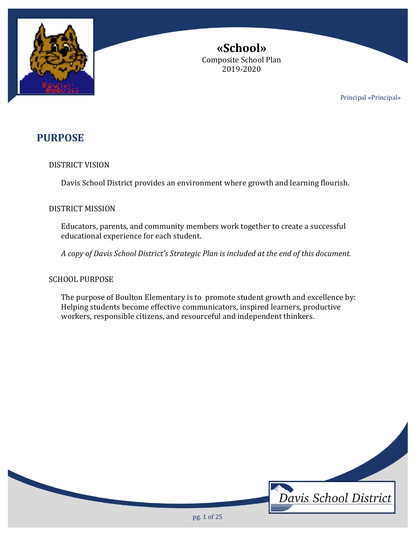

**«School»** Composite School Plan 2019-2020

Principal «Principal»

# **PURPOSE**

# DISTRICT VISION

Davis School District provides an environment where growth and learning flourish.

# DISTRICT MISSION

Educators, parents, and community members work together to create a successful educational experience for each student.

*A copy of Davis School District's Strategic Plan is included at the end of this document.*

# SCHOOL PURPOSE

The purpose of Boulton Elementary is to promote student growth and excellence by: Helping students become effective communicators, inspired learners, productive workers, responsible citizens, and resourceful and independent thinkers.

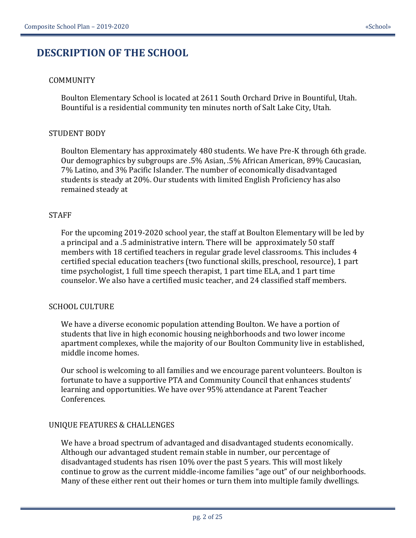# **DESCRIPTION OF THE SCHOOL**

# COMMUNITY

Boulton Elementary School is located at 2611 South Orchard Drive in Bountiful, Utah. Bountiful is a residential community ten minutes north of Salt Lake City, Utah.

# STUDENT BODY

Boulton Elementary has approximately 480 students. We have Pre-K through 6th grade. Our demographics by subgroups are .5% Asian, .5% African American, 89% Caucasian, 7% Latino, and 3% Pacific Islander. The number of economically disadvantaged students is steady at 20%. Our students with limited English Proficiency has also remained steady at

# STAFF

For the upcoming 2019-2020 school year, the staff at Boulton Elementary will be led by a principal and a .5 administrative intern. There will be approximately 50 staff members with 18 certified teachers in regular grade level classrooms. This includes 4 certified special education teachers (two functional skills, preschool, resource), 1 part time psychologist, 1 full time speech therapist, 1 part time ELA, and 1 part time counselor. We also have a certified music teacher, and 24 classified staff members.

# SCHOOL CULTURE

We have a diverse economic population attending Boulton. We have a portion of students that live in high economic housing neighborhoods and two lower income apartment complexes, while the majority of our Boulton Community live in established, middle income homes.

Our school is welcoming to all families and we encourage parent volunteers. Boulton is fortunate to have a supportive PTA and Community Council that enhances students' learning and opportunities. We have over 95% attendance at Parent Teacher Conferences.

# UNIQUE FEATURES & CHALLENGES

We have a broad spectrum of advantaged and disadvantaged students economically. Although our advantaged student remain stable in number, our percentage of disadvantaged students has risen 10% over the past 5 years. This will most likely continue to grow as the current middle-income families "age out" of our neighborhoods. Many of these either rent out their homes or turn them into multiple family dwellings.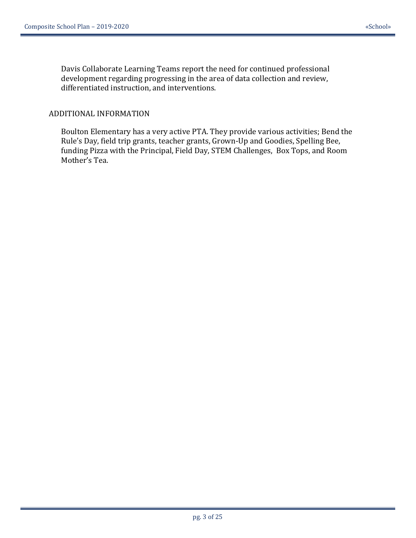Davis Collaborate Learning Teams report the need for continued professional development regarding progressing in the area of data collection and review, differentiated instruction, and interventions.

### ADDITIONAL INFORMATION

Boulton Elementary has a very active PTA. They provide various activities; Bend the Rule's Day, field trip grants, teacher grants, Grown-Up and Goodies, Spelling Bee, funding Pizza with the Principal, Field Day, STEM Challenges, Box Tops, and Room Mother's Tea.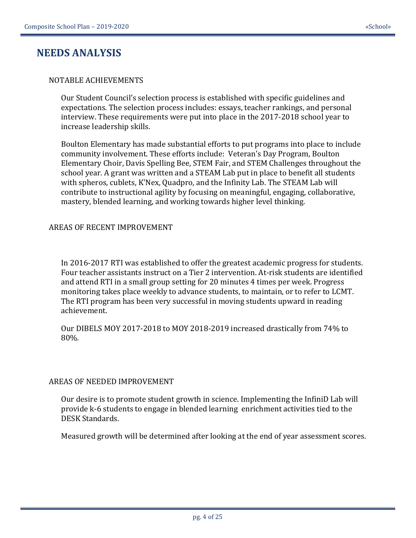# **NEEDS ANALYSIS**

### NOTABLE ACHIEVEMENTS

Our Student Council's selection process is established with specific guidelines and expectations. The selection process includes: essays, teacher rankings, and personal interview. These requirements were put into place in the 2017-2018 school year to increase leadership skills.

Boulton Elementary has made substantial efforts to put programs into place to include community involvement. These efforts include: Veteran's Day Program, Boulton Elementary Choir, Davis Spelling Bee, STEM Fair, and STEM Challenges throughout the school year. A grant was written and a STEAM Lab put in place to benefit all students with spheros, cublets, K'Nex, Quadpro, and the Infinity Lab. The STEAM Lab will contribute to instructional agility by focusing on meaningful, engaging, collaborative, mastery, blended learning, and working towards higher level thinking.

### AREAS OF RECENT IMPROVEMENT

In 2016-2017 RTI was established to offer the greatest academic progress for students. Four teacher assistants instruct on a Tier 2 intervention. At-risk students are identified and attend RTI in a small group setting for 20 minutes 4 times per week. Progress monitoring takes place weekly to advance students, to maintain, or to refer to LCMT. The RTI program has been very successful in moving students upward in reading achievement.

Our DIBELS MOY 2017-2018 to MOY 2018-2019 increased drastically from 74% to 80%.

#### AREAS OF NEEDED IMPROVEMENT

Our desire is to promote student growth in science. Implementing the InfiniD Lab will provide k-6 students to engage in blended learning enrichment activities tied to the DESK Standards.

Measured growth will be determined after looking at the end of year assessment scores.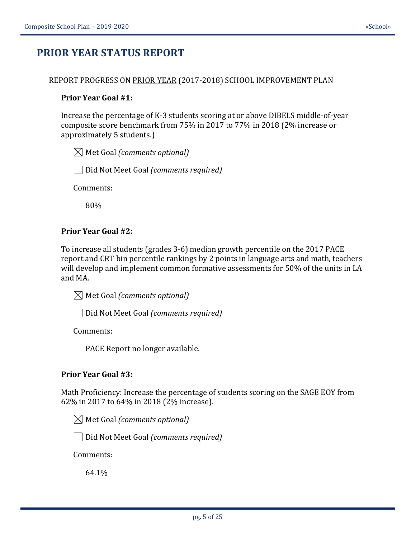# **PRIOR YEAR STATUS REPORT**

#### REPORT PROGRESS ON PRIOR YEAR (2017-2018) SCHOOL IMPROVEMENT PLAN

#### **Prior Year Goal #1:**

Increase the percentage of K-3 students scoring at or above DIBELS middle-of-year composite score benchmark from 75% in 2017 to 77% in 2018 (2% increase or approximately 5 students.)

 $\boxtimes$  Met Goal *(comments optional)* 

Did Not Meet Goal *(comments required)*

Comments:

80%

#### **Prior Year Goal #2:**

To increase all students (grades 3-6) median growth percentile on the 2017 PACE report and CRT bin percentile rankings by 2 points in language arts and math, teachers will develop and implement common formative assessments for 50% of the units in LA and MA.

Met Goal *(comments optional)*

Did Not Meet Goal *(comments required)*

Comments:

PACE Report no longer available.

#### **Prior Year Goal #3:**

Math Proficiency: Increase the percentage of students scoring on the SAGE EOY from 62% in 2017 to 64% in 2018 (2% increase).

 $\boxtimes$  Met Goal *(comments optional)* 

Did Not Meet Goal *(comments required)*

Comments:

64.1%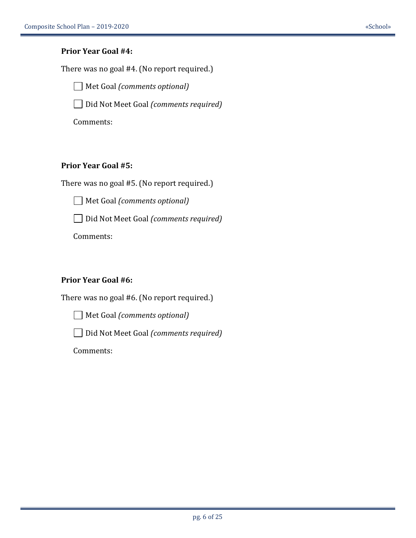### **Prior Year Goal #4:**

There was no goal #4. (No report required.)

Met Goal *(comments optional)*

Did Not Meet Goal *(comments required)*

Comments:

# **Prior Year Goal #5:**

There was no goal #5. (No report required.)

Met Goal *(comments optional)*

Did Not Meet Goal *(comments required)*

Comments:

# **Prior Year Goal #6:**

There was no goal #6. (No report required.)

Met Goal *(comments optional)*

Did Not Meet Goal *(comments required)*

Comments: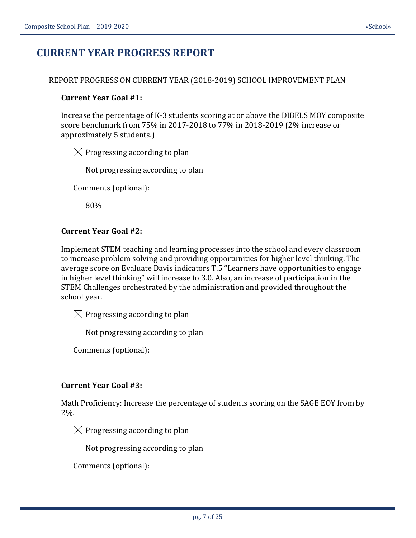# **CURRENT YEAR PROGRESS REPORT**

### REPORT PROGRESS ON CURRENT YEAR (2018-2019) SCHOOL IMPROVEMENT PLAN

### **Current Year Goal #1:**

Increase the percentage of K-3 students scoring at or above the DIBELS MOY composite score benchmark from 75% in 2017-2018 to 77% in 2018-2019 (2% increase or approximately 5 students.)

 $\boxtimes$  Progressing according to plan

 $\Box$  Not progressing according to plan

Comments (optional):

80%

# **Current Year Goal #2:**

Implement STEM teaching and learning processes into the school and every classroom to increase problem solving and providing opportunities for higher level thinking. The average score on Evaluate Davis indicators T.5 "Learners have opportunities to engage in higher level thinking" will increase to 3.0. Also, an increase of participation in the STEM Challenges orchestrated by the administration and provided throughout the school year.

 $\boxtimes$  Progressing according to plan

 $\Box$  Not progressing according to plan

Comments (optional):

#### **Current Year Goal #3:**

Math Proficiency: Increase the percentage of students scoring on the SAGE EOY from by 2%.



 $\Box$  Not progressing according to plan

Comments (optional):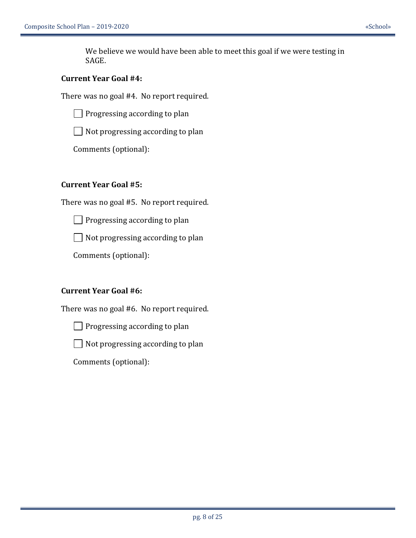We believe we would have been able to meet this goal if we were testing in SAGE.

### **Current Year Goal #4:**

There was no goal #4. No report required.

 $\Box$  Progressing according to plan

 $\Box$  Not progressing according to plan

Comments (optional):

# **Current Year Goal #5:**

There was no goal #5. No report required.

 $\Box$  Progressing according to plan

 $\Box$  Not progressing according to plan

Comments (optional):

# **Current Year Goal #6:**

There was no goal #6. No report required.



 $\Box$  Not progressing according to plan

Comments (optional):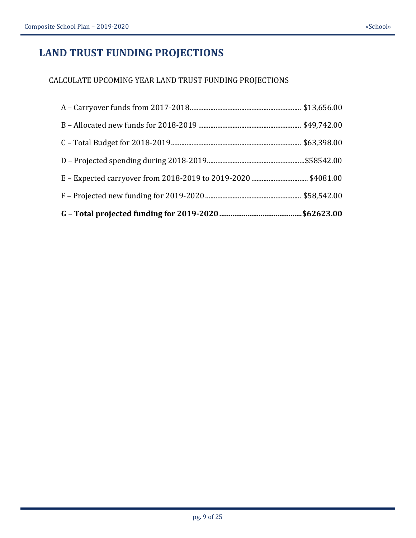# **LAND TRUST FUNDING PROJECTIONS**

# CALCULATE UPCOMING YEAR LAND TRUST FUNDING PROJECTIONS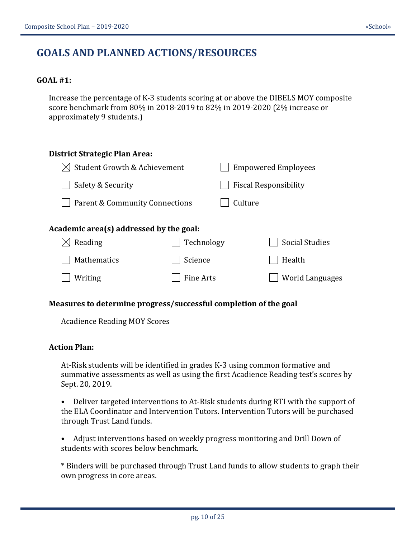# **GOALS AND PLANNED ACTIONS/RESOURCES**

### **GOAL #1:**

Increase the percentage of K-3 students scoring at or above the DIBELS MOY composite score benchmark from 80% in 2018-2019 to 82% in 2019-2020 (2% increase or approximately 9 students.)

| District Strategic Plan Area:           |            |         |                              |
|-----------------------------------------|------------|---------|------------------------------|
| Student Growth & Achievement            |            |         | <b>Empowered Employees</b>   |
| Safety & Security                       |            |         | <b>Fiscal Responsibility</b> |
| Parent & Community Connections          |            | Culture |                              |
| Academic area(s) addressed by the goal: |            |         |                              |
| Reading                                 | Technology |         | <b>Social Studies</b>        |
| Mathematics                             | Science    |         | Health                       |
| Writing                                 | Fine Arts  |         | <b>World Languages</b>       |

#### **Measures to determine progress/successful completion of the goal**

Acadience Reading MOY Scores

#### **Action Plan:**

At-Risk students will be identified in grades K-3 using common formative and summative assessments as well as using the first Acadience Reading test's scores by Sept. 20, 2019.

• Deliver targeted interventions to At-Risk students during RTI with the support of the ELA Coordinator and Intervention Tutors. Intervention Tutors will be purchased through Trust Land funds.

• Adjust interventions based on weekly progress monitoring and Drill Down of students with scores below benchmark.

\* Binders will be purchased through Trust Land funds to allow students to graph their own progress in core areas.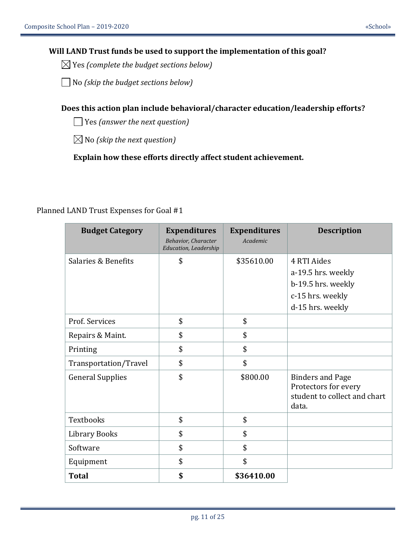# **Will LAND Trust funds be used to support the implementation of this goal?**

Yes *(complete the budget sections below)*

No *(skip the budget sections below)*

**Does this action plan include behavioral/character education/leadership efforts?**

Yes *(answer the next question)*

 $\boxtimes$  No *(skip the next question)* 

**Explain how these efforts directly affect student achievement.**

| <b>Budget Category</b>  | <b>Expenditures</b><br>Behavior, Character<br><b>Education, Leadership</b> | <b>Expenditures</b><br>Academic | <b>Description</b>                                                                              |
|-------------------------|----------------------------------------------------------------------------|---------------------------------|-------------------------------------------------------------------------------------------------|
| Salaries & Benefits     | \$                                                                         | \$35610.00                      | 4 RTI Aides<br>a-19.5 hrs. weekly<br>b-19.5 hrs. weekly<br>c-15 hrs. weekly<br>d-15 hrs. weekly |
| Prof. Services          | \$                                                                         | \$                              |                                                                                                 |
| Repairs & Maint.        | \$                                                                         | \$                              |                                                                                                 |
| Printing                | \$                                                                         | \$                              |                                                                                                 |
| Transportation/Travel   | \$                                                                         | \$                              |                                                                                                 |
| <b>General Supplies</b> | \$                                                                         | \$800.00                        | <b>Binders and Page</b><br>Protectors for every<br>student to collect and chart<br>data.        |
| Textbooks               | \$                                                                         | \$                              |                                                                                                 |
| Library Books           | \$                                                                         | \$                              |                                                                                                 |
| Software                | \$                                                                         | \$                              |                                                                                                 |
| Equipment               | \$                                                                         | \$                              |                                                                                                 |
| <b>Total</b>            | \$                                                                         | \$36410.00                      |                                                                                                 |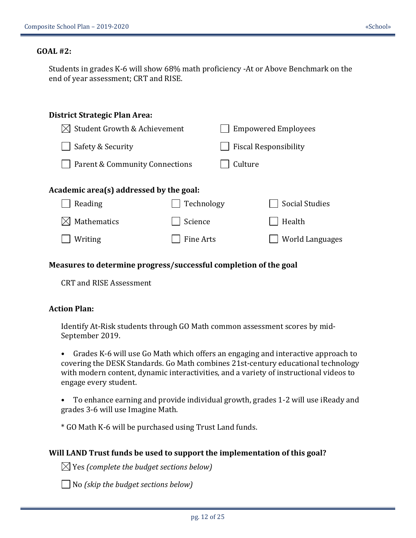#### **GOAL #2:**

Students in grades K-6 will show 68% math proficiency -At or Above Benchmark on the end of year assessment; CRT and RISE.

| District Strategic Plan Area:            |            |         |                              |
|------------------------------------------|------------|---------|------------------------------|
| $\boxtimes$ Student Growth & Achievement |            |         | <b>Empowered Employees</b>   |
| Safety & Security                        |            |         | <b>Fiscal Responsibility</b> |
| Parent & Community Connections           |            | Culture |                              |
| Academic area(s) addressed by the goal:  |            |         |                              |
| Reading                                  | Technology |         | <b>Social Studies</b>        |
| Mathematics                              | Science    |         | Health                       |
| Writing                                  | Fine Arts  |         | World Languages              |
|                                          |            |         |                              |

#### **Measures to determine progress/successful completion of the goal**

CRT and RISE Assessment

### **Action Plan:**

Identify At-Risk students through GO Math common assessment scores by mid-September 2019.

• Grades K-6 will use Go Math which offers an engaging and interactive approach to covering the DESK Standards. Go Math combines 21st-century educational technology with modern content, dynamic interactivities, and a variety of instructional videos to engage every student.

• To enhance earning and provide individual growth, grades 1-2 will use iReady and grades 3-6 will use Imagine Math.

\* GO Math K-6 will be purchased using Trust Land funds.

#### **Will LAND Trust funds be used to support the implementation of this goal?**

Yes *(complete the budget sections below)*

No *(skip the budget sections below)*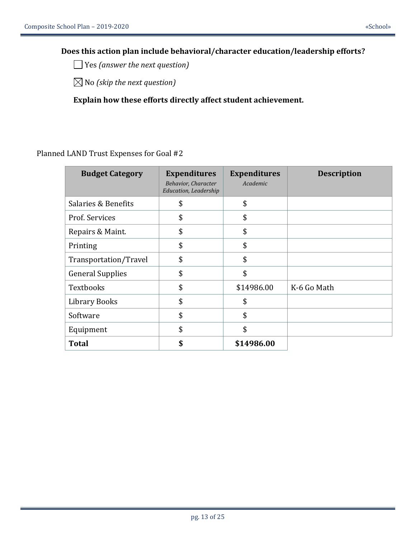# **Does this action plan include behavioral/character education/leadership efforts?**

Yes *(answer the next question)*

No *(skip the next question)*

**Explain how these efforts directly affect student achievement.**

| <b>Budget Category</b>  | <b>Expenditures</b><br>Behavior, Character<br><b>Education, Leadership</b> | <b>Expenditures</b><br>Academic | <b>Description</b> |
|-------------------------|----------------------------------------------------------------------------|---------------------------------|--------------------|
| Salaries & Benefits     | \$                                                                         | \$                              |                    |
| Prof. Services          | \$                                                                         | \$                              |                    |
| Repairs & Maint.        | \$                                                                         | \$                              |                    |
| Printing                | \$                                                                         | \$                              |                    |
| Transportation/Travel   | \$                                                                         | \$                              |                    |
| <b>General Supplies</b> | \$                                                                         | \$                              |                    |
| Textbooks               | \$                                                                         | \$14986.00                      | K-6 Go Math        |
| <b>Library Books</b>    | \$                                                                         | \$                              |                    |
| Software                | \$                                                                         | \$                              |                    |
| Equipment               | \$                                                                         | \$                              |                    |
| <b>Total</b>            | \$                                                                         | \$14986.00                      |                    |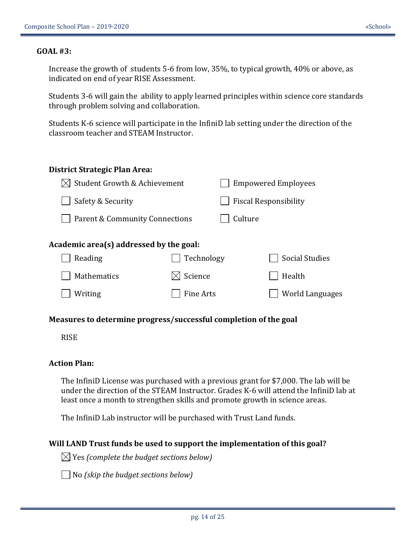#### **GOAL #3:**

Increase the growth of students 5-6 from low, 35%, to typical growth, 40% or above, as indicated on end of year RISE Assessment.

Students 3-6 will gain the ability to apply learned principles within science core standards through problem solving and collaboration.

Students K-6 science will participate in the InfiniD lab setting under the direction of the classroom teacher and STEAM Instructor.

| District Strategic Plan Area:                                                |                                           |         |                                                           |
|------------------------------------------------------------------------------|-------------------------------------------|---------|-----------------------------------------------------------|
| Student Growth & Achievement<br>IXI                                          |                                           |         | <b>Empowered Employees</b>                                |
| Safety & Security                                                            |                                           |         | <b>Fiscal Responsibility</b>                              |
| Parent & Community Connections                                               |                                           | Culture |                                                           |
| Academic area(s) addressed by the goal:<br>Reading<br>Mathematics<br>Writing | Technology<br>Science<br><b>Fine Arts</b> |         | <b>Social Studies</b><br>Health<br><b>World Languages</b> |
|                                                                              |                                           |         |                                                           |

#### **Measures to determine progress/successful completion of the goal**

RISE

#### **Action Plan:**

The InfiniD License was purchased with a previous grant for \$7,000. The lab will be under the direction of the STEAM Instructor. Grades K-6 will attend the InfiniD lab at least once a month to strengthen skills and promote growth in science areas.

The InfiniD Lab instructor will be purchased with Trust Land funds.

#### **Will LAND Trust funds be used to support the implementation of this goal?**

 $\boxtimes$  Yes *(complete the budget sections below)* 

No *(skip the budget sections below)*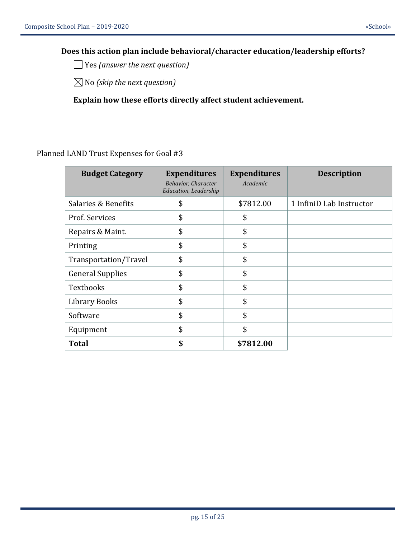# **Does this action plan include behavioral/character education/leadership efforts?**

Yes *(answer the next question)*

No *(skip the next question)*

**Explain how these efforts directly affect student achievement.**

| <b>Budget Category</b>  | <b>Expenditures</b><br>Behavior, Character<br>Education, Leadership | <b>Expenditures</b><br>Academic | <b>Description</b>       |
|-------------------------|---------------------------------------------------------------------|---------------------------------|--------------------------|
| Salaries & Benefits     | \$                                                                  | \$7812.00                       | 1 InfiniD Lab Instructor |
| Prof. Services          | \$                                                                  | \$                              |                          |
| Repairs & Maint.        | \$                                                                  | \$                              |                          |
| Printing                | \$                                                                  | \$                              |                          |
| Transportation/Travel   | \$                                                                  | \$                              |                          |
| <b>General Supplies</b> | \$                                                                  | \$                              |                          |
| Textbooks               | \$                                                                  | \$                              |                          |
| <b>Library Books</b>    | \$                                                                  | \$                              |                          |
| Software                | \$                                                                  | \$                              |                          |
| Equipment               | \$                                                                  | \$                              |                          |
| <b>Total</b>            | \$                                                                  | \$7812.00                       |                          |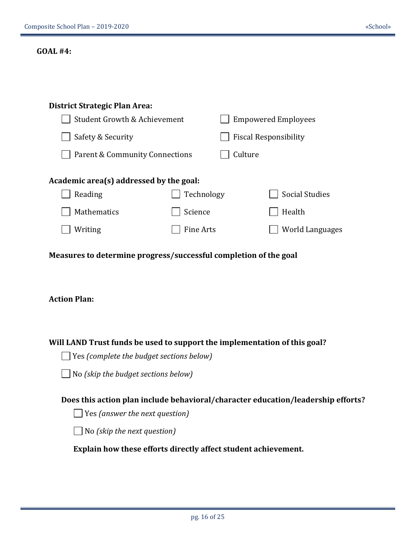# **GOAL #4:**

| District Strategic Plan Area:                                                           |                  |         |                                                                                  |  |
|-----------------------------------------------------------------------------------------|------------------|---------|----------------------------------------------------------------------------------|--|
| Student Growth & Achievement                                                            |                  |         | <b>Empowered Employees</b>                                                       |  |
| Safety & Security                                                                       |                  |         | <b>Fiscal Responsibility</b>                                                     |  |
| <b>Parent &amp; Community Connections</b>                                               |                  | Culture |                                                                                  |  |
| Academic area(s) addressed by the goal:                                                 |                  |         |                                                                                  |  |
| Reading                                                                                 | Technology       |         | <b>Social Studies</b>                                                            |  |
| Mathematics                                                                             | Science          |         | Health                                                                           |  |
| Writing                                                                                 | <b>Fine Arts</b> |         | <b>World Languages</b>                                                           |  |
| Measures to determine progress/successful completion of the goal<br><b>Action Plan:</b> |                  |         |                                                                                  |  |
| Will LAND Trust funds be used to support the implementation of this goal?               |                  |         |                                                                                  |  |
| $\vert$ Yes (complete the budget sections below)                                        |                  |         |                                                                                  |  |
| No (skip the budget sections below)                                                     |                  |         |                                                                                  |  |
|                                                                                         |                  |         | Does this action plan include behavioral/character education/leadership efforts? |  |
| $\vert$ Yes (answer the next question)                                                  |                  |         |                                                                                  |  |
| $\vert$ No (skip the next question)                                                     |                  |         |                                                                                  |  |
| Explain how these efforts directly affect student achievement.                          |                  |         |                                                                                  |  |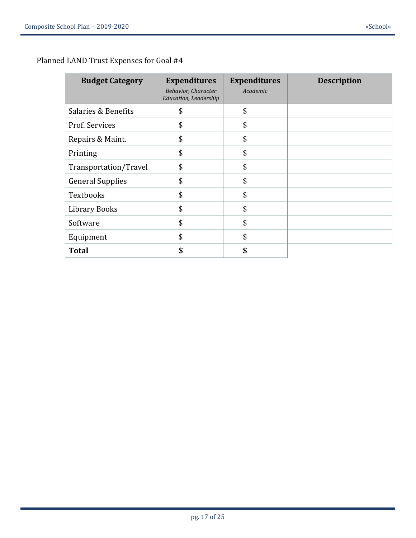| <b>Budget Category</b>  | <b>Expenditures</b><br>Behavior, Character<br><b>Education, Leadership</b> | <b>Expenditures</b><br>Academic | <b>Description</b> |
|-------------------------|----------------------------------------------------------------------------|---------------------------------|--------------------|
| Salaries & Benefits     | \$                                                                         | \$                              |                    |
| Prof. Services          | \$                                                                         | \$                              |                    |
| Repairs & Maint.        | \$                                                                         | \$                              |                    |
| Printing                | \$                                                                         | \$                              |                    |
| Transportation/Travel   | \$                                                                         | \$                              |                    |
| <b>General Supplies</b> | \$                                                                         | \$                              |                    |
| <b>Textbooks</b>        | \$                                                                         | \$                              |                    |
| <b>Library Books</b>    | \$                                                                         | \$                              |                    |
| Software                | \$                                                                         | \$                              |                    |
| Equipment               | \$                                                                         | \$                              |                    |
| <b>Total</b>            | \$                                                                         | ቍ                               |                    |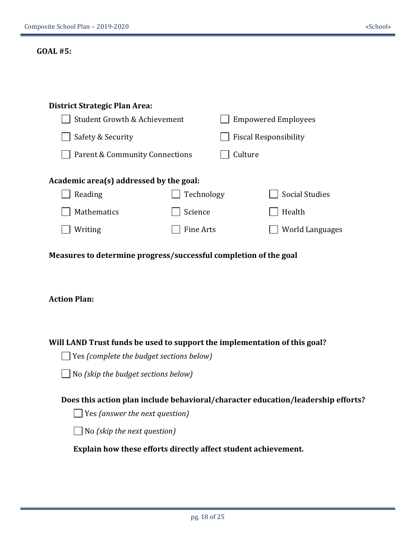# **GOAL #5:**

| <b>District Strategic Plan Area:</b>                                                    |                  |         |                              |
|-----------------------------------------------------------------------------------------|------------------|---------|------------------------------|
| Student Growth & Achievement                                                            |                  |         | <b>Empowered Employees</b>   |
| Safety & Security                                                                       |                  |         | <b>Fiscal Responsibility</b> |
| <b>Parent &amp; Community Connections</b>                                               |                  | Culture |                              |
| Academic area(s) addressed by the goal:                                                 |                  |         |                              |
| Reading                                                                                 | Technology       |         | <b>Social Studies</b>        |
| Mathematics                                                                             | Science          |         | Health                       |
| Writing                                                                                 | <b>Fine Arts</b> |         | <b>World Languages</b>       |
| Measures to determine progress/successful completion of the goal<br><b>Action Plan:</b> |                  |         |                              |
| Will LAND Trust funds be used to support the implementation of this goal?               |                  |         |                              |
| Yes (complete the budget sections below)                                                |                  |         |                              |
| No (skip the budget sections below)                                                     |                  |         |                              |
| Does this action plan include behavioral/character education/leadership efforts?        |                  |         |                              |
| Yes (answer the next question)                                                          |                  |         |                              |
| No (skip the next question)                                                             |                  |         |                              |
| Explain how these efforts directly affect student achievement.                          |                  |         |                              |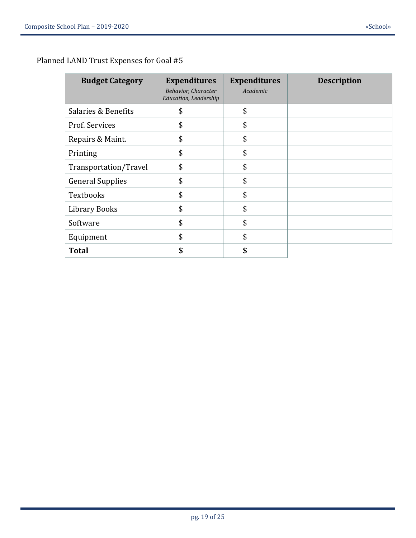| <b>Budget Category</b>  | <b>Expenditures</b><br>Behavior, Character<br>Education, Leadership | <b>Expenditures</b><br>Academic | <b>Description</b> |
|-------------------------|---------------------------------------------------------------------|---------------------------------|--------------------|
| Salaries & Benefits     | \$                                                                  | \$                              |                    |
| Prof. Services          | \$                                                                  | \$                              |                    |
| Repairs & Maint.        | \$                                                                  | \$                              |                    |
| Printing                | \$                                                                  | \$                              |                    |
| Transportation/Travel   | \$                                                                  | \$                              |                    |
| <b>General Supplies</b> | \$                                                                  | \$                              |                    |
| <b>Textbooks</b>        | \$                                                                  | \$                              |                    |
| <b>Library Books</b>    | \$                                                                  | \$                              |                    |
| Software                | \$                                                                  | \$                              |                    |
| Equipment               | \$                                                                  | \$                              |                    |
| <b>Total</b>            | \$                                                                  |                                 |                    |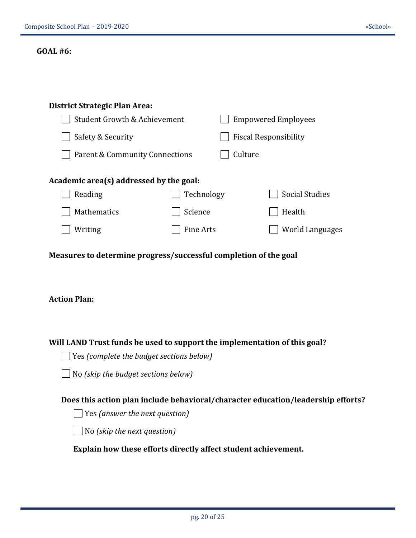# **GOAL #6:**

| <b>District Strategic Plan Area:</b>                                             |                  |         |                              |
|----------------------------------------------------------------------------------|------------------|---------|------------------------------|
| <b>Student Growth &amp; Achievement</b>                                          |                  |         | <b>Empowered Employees</b>   |
| Safety & Security                                                                |                  |         | <b>Fiscal Responsibility</b> |
| Parent & Community Connections                                                   |                  | Culture |                              |
| Academic area(s) addressed by the goal:                                          |                  |         |                              |
| Reading                                                                          | Technology       |         | <b>Social Studies</b>        |
| Mathematics                                                                      | Science          |         | Health                       |
| Writing                                                                          | <b>Fine Arts</b> |         | <b>World Languages</b>       |
| <b>Action Plan:</b>                                                              |                  |         |                              |
| Will LAND Trust funds be used to support the implementation of this goal?        |                  |         |                              |
| $\Box$ Yes (complete the budget sections below)                                  |                  |         |                              |
| No (skip the budget sections below)                                              |                  |         |                              |
| Does this action plan include behavioral/character education/leadership efforts? |                  |         |                              |
| Yes (answer the next question)                                                   |                  |         |                              |
| No (skip the next question)                                                      |                  |         |                              |
| Explain how these efforts directly affect student achievement.                   |                  |         |                              |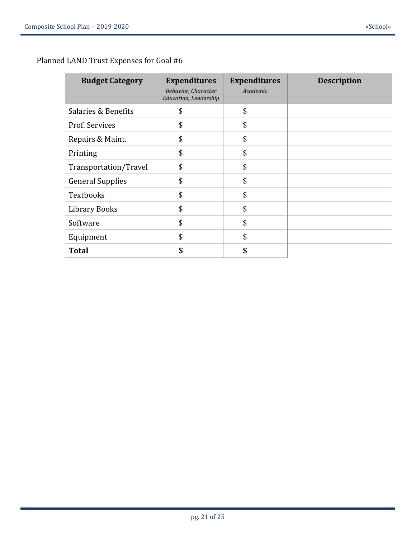| <b>Budget Category</b>  | <b>Expenditures</b><br><b>Behavior, Character</b><br><b>Education, Leadership</b> | <b>Expenditures</b><br>Academic | <b>Description</b> |
|-------------------------|-----------------------------------------------------------------------------------|---------------------------------|--------------------|
| Salaries & Benefits     | \$                                                                                | \$                              |                    |
| Prof. Services          | \$                                                                                | \$                              |                    |
| Repairs & Maint.        | \$                                                                                | \$                              |                    |
| Printing                | \$                                                                                | \$                              |                    |
| Transportation/Travel   | \$                                                                                | \$                              |                    |
| <b>General Supplies</b> | \$                                                                                | \$                              |                    |
| <b>Textbooks</b>        | \$                                                                                | \$                              |                    |
| <b>Library Books</b>    | \$                                                                                | \$                              |                    |
| Software                | \$                                                                                | \$                              |                    |
| Equipment               | \$                                                                                | \$                              |                    |
| <b>Total</b>            | \$                                                                                | \$                              |                    |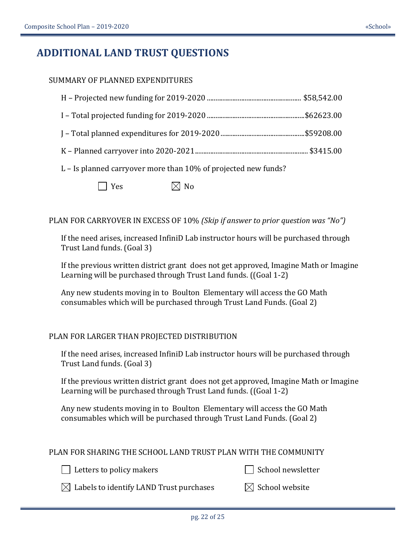# **ADDITIONAL LAND TRUST QUESTIONS**

# SUMMARY OF PLANNED EXPENDITURES

L – Is planned carryover more than 10% of projected new funds?

Yes  $\bowtie$  No

PLAN FOR CARRYOVER IN EXCESS OF 10% *(Skip if answer to prior question was "No")*

If the need arises, increased InfiniD Lab instructor hours will be purchased through Trust Land funds. (Goal 3)

If the previous written district grant does not get approved, Imagine Math or Imagine Learning will be purchased through Trust Land funds. ((Goal 1-2)

Any new students moving in to Boulton Elementary will access the GO Math consumables which will be purchased through Trust Land Funds. (Goal 2)

# PLAN FOR LARGER THAN PROJECTED DISTRIBUTION

If the need arises, increased InfiniD Lab instructor hours will be purchased through Trust Land funds. (Goal 3)

If the previous written district grant does not get approved, Imagine Math or Imagine Learning will be purchased through Trust Land funds. ((Goal 1-2)

Any new students moving in to Boulton Elementary will access the GO Math consumables which will be purchased through Trust Land Funds. (Goal 2)

# PLAN FOR SHARING THE SCHOOL LAND TRUST PLAN WITH THE COMMUNITY

Letters to policy makers School newsletter

 $\bowtie$  Labels to identify LAND Trust purchases  $\bowtie$  School website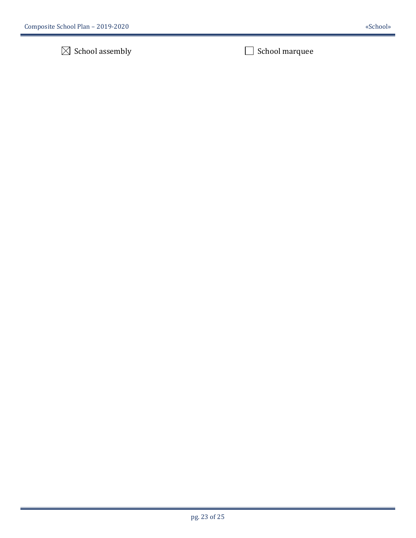# $\boxtimes$  School assembly  $\Box$  School marquee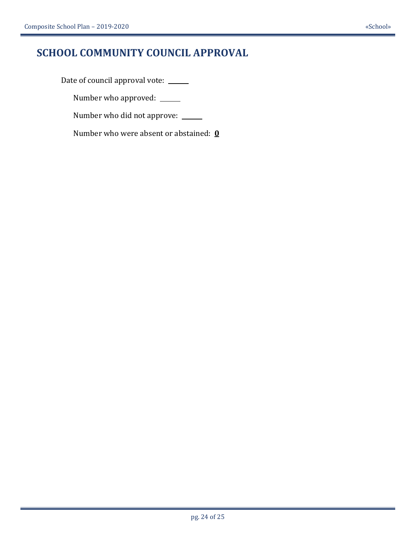# **SCHOOL COMMUNITY COUNCIL APPROVAL**

Date of council approval vote: \_\_\_\_\_

Number who approved:

Number who did not approve:

Number who were absent or abstained: **0**